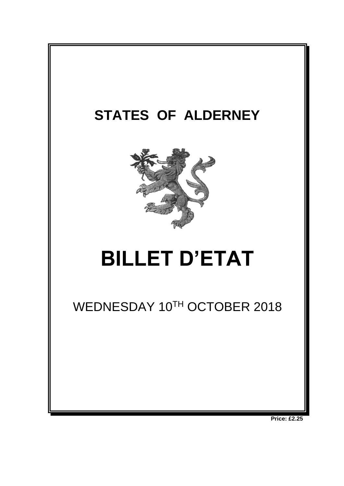

**Price: £2.25**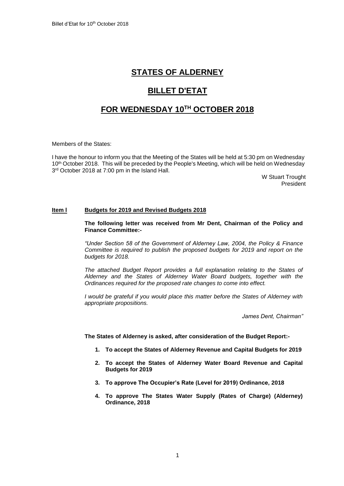## **STATES OF ALDERNEY**

# **BILLET D'ETAT**

### **FOR WEDNESDAY 10 TH OCTOBER 2018**

Members of the States:

I have the honour to inform you that the Meeting of the States will be held at 5:30 pm on Wednesday 10th October 2018. This will be preceded by the People's Meeting, which will be held on Wednesday 3 rd October 2018 at 7:00 pm in the Island Hall.

W Stuart Trought President

#### **Item l Budgets for 2019 and Revised Budgets 2018**

**The following letter was received from Mr Dent, Chairman of the Policy and Finance Committee:-**

*"Under Section 58 of the Government of Alderney Law, 2004, the Policy & Finance Committee is required to publish the proposed budgets for 2019 and report on the budgets for 2018.* 

*The attached Budget Report provides a full explanation relating to the States of Alderney and the States of Alderney Water Board budgets, together with the Ordinances required for the proposed rate changes to come into effect.* 

*I* would be grateful if you would place this matter before the States of Alderney with *appropriate propositions.*

*James Dent, Chairman"*

**The States of Alderney is asked, after consideration of the Budget Report:-**

- **1. To accept the States of Alderney Revenue and Capital Budgets for 2019**
- **2. To accept the States of Alderney Water Board Revenue and Capital Budgets for 2019**
- **3. To approve The Occupier's Rate (Level for 2019) Ordinance, 2018**
- **4. To approve The States Water Supply (Rates of Charge) (Alderney) Ordinance, 2018**